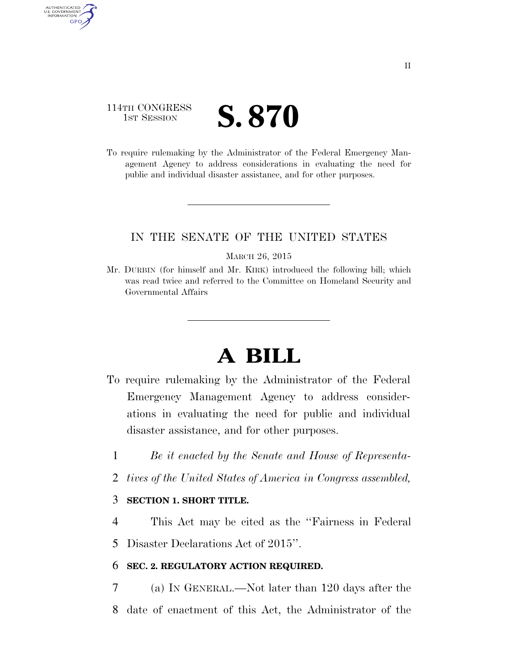## 114TH CONGRESS **IST SESSION S. 870**

AUTHENTICATED U.S. GOVERNMENT **GPO** 

> To require rulemaking by the Administrator of the Federal Emergency Management Agency to address considerations in evaluating the need for public and individual disaster assistance, and for other purposes.

### IN THE SENATE OF THE UNITED STATES

#### MARCH 26, 2015

Mr. DURBIN (for himself and Mr. KIRK) introduced the following bill; which was read twice and referred to the Committee on Homeland Security and Governmental Affairs

# **A BILL**

- To require rulemaking by the Administrator of the Federal Emergency Management Agency to address considerations in evaluating the need for public and individual disaster assistance, and for other purposes.
	- 1 *Be it enacted by the Senate and House of Representa-*
	- 2 *tives of the United States of America in Congress assembled,*

### 3 **SECTION 1. SHORT TITLE.**

4 This Act may be cited as the ''Fairness in Federal

5 Disaster Declarations Act of 2015''.

### 6 **SEC. 2. REGULATORY ACTION REQUIRED.**

7 (a) IN GENERAL.—Not later than 120 days after the 8 date of enactment of this Act, the Administrator of the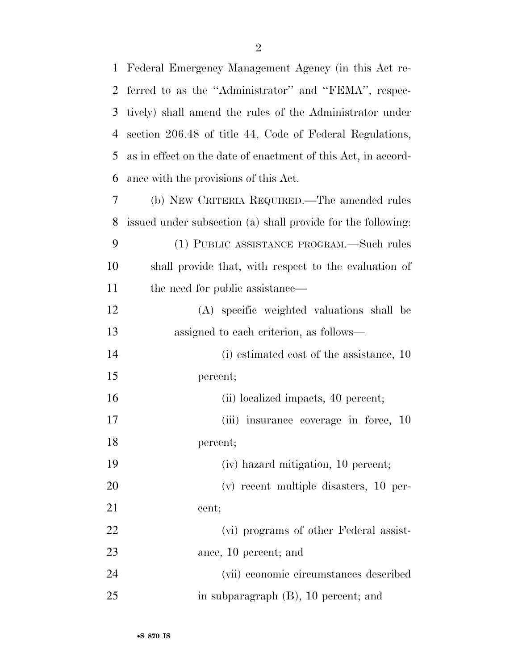| $\mathbf 1$ | Federal Emergency Management Agency (in this Act re-          |
|-------------|---------------------------------------------------------------|
| 2           | ferred to as the "Administrator" and "FEMA", respec-          |
| 3           | tively) shall amend the rules of the Administrator under      |
| 4           | section 206.48 of title 44, Code of Federal Regulations,      |
| 5           | as in effect on the date of enactment of this Act, in accord- |
| 6           | ance with the provisions of this Act.                         |
| 7           | (b) NEW CRITERIA REQUIRED.—The amended rules                  |
| 8           | issued under subsection (a) shall provide for the following:  |
| 9           | (1) PUBLIC ASSISTANCE PROGRAM.—Such rules                     |
| 10          | shall provide that, with respect to the evaluation of         |
| 11          | the need for public assistance—                               |
| 12          | (A) specific weighted valuations shall be                     |
| 13          | assigned to each criterion, as follows—                       |
| 14          | (i) estimated cost of the assistance, 10                      |
| 15          | percent;                                                      |
| 16          | (ii) localized impacts, 40 percent;                           |
| 17          | (iii) insurance coverage in force, 10                         |
| 18          | percent;                                                      |
| 19          | (iv) hazard mitigation, 10 percent;                           |
| 20          | $(v)$ recent multiple disasters, 10 per-                      |
| 21          | cent;                                                         |
| 22          | (vi) programs of other Federal assist-                        |
| 23          | ance, 10 percent; and                                         |
| 24          | (vii) economic circumstances described                        |
| 25          | in subparagraph $(B)$ , 10 percent; and                       |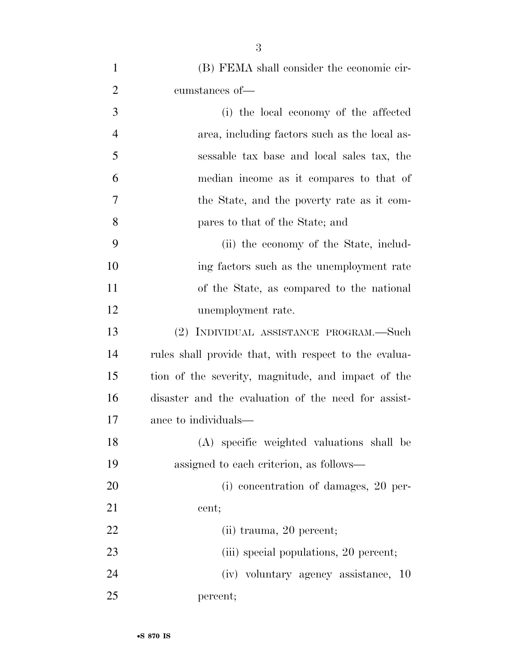| $\mathbf{1}$   | (B) FEMA shall consider the economic cir-             |
|----------------|-------------------------------------------------------|
| $\overline{2}$ | cumstances of-                                        |
| 3              | (i) the local economy of the affected                 |
| $\overline{4}$ | area, including factors such as the local as-         |
| 5              | sessable tax base and local sales tax, the            |
| 6              | median income as it compares to that of               |
| 7              | the State, and the poverty rate as it com-            |
| 8              | pares to that of the State; and                       |
| 9              | (ii) the economy of the State, includ-                |
| 10             | ing factors such as the unemployment rate             |
| 11             | of the State, as compared to the national             |
| 12             | unemployment rate.                                    |
| 13             | (2) INDIVIDUAL ASSISTANCE PROGRAM.—Such               |
| 14             | rules shall provide that, with respect to the evalua- |
| 15             | tion of the severity, magnitude, and impact of the    |
| 16             | disaster and the evaluation of the need for assist-   |
| 17             | ance to individuals—                                  |
| 18             | (A) specific weighted valuations shall be             |
| 19             | assigned to each criterion, as follows—               |
| 20             | (i) concentration of damages, 20 per-                 |
| 21             | cent;                                                 |
| 22             | (ii) trauma, 20 percent;                              |
| 23             | (iii) special populations, 20 percent;                |
| 24             | (iv) voluntary agency assistance, 10                  |
| 25             | percent;                                              |